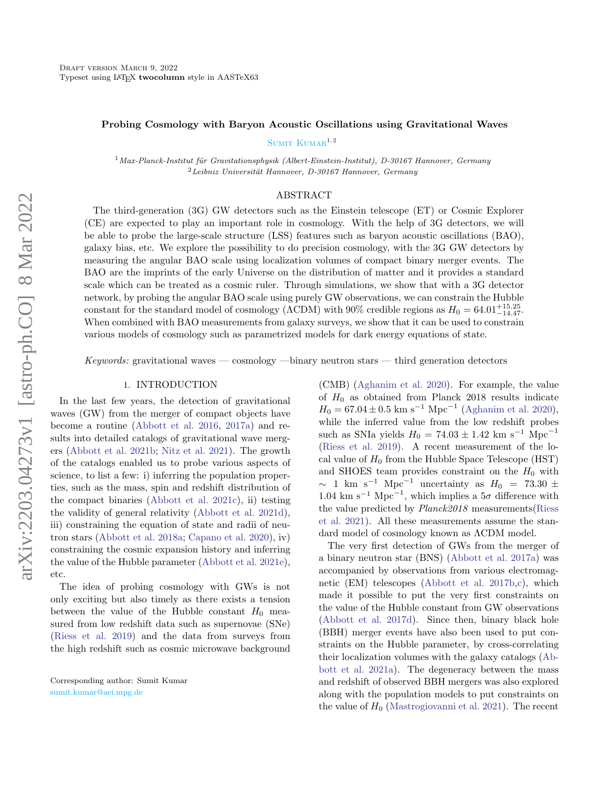### Probing Cosmology with Baryon Acoustic Oscillations using Gravitational Waves

SUMIT  $K$ UMA $R^{1,2}$ 

 $1$ Max-Planck-Institut für Gravitationsphysik (Albert-Einstein-Institut), D-30167 Hannover, Germany  ${}^{2}$ Leibniz Universität Hannover, D-30167 Hannover, Germany

### ABSTRACT

The third-generation (3G) GW detectors such as the Einstein telescope (ET) or Cosmic Explorer (CE) are expected to play an important role in cosmology. With the help of 3G detectors, we will be able to probe the large-scale structure (LSS) features such as baryon acoustic oscillations (BAO), galaxy bias, etc. We explore the possibility to do precision cosmology, with the 3G GW detectors by measuring the angular BAO scale using localization volumes of compact binary merger events. The BAO are the imprints of the early Universe on the distribution of matter and it provides a standard scale which can be treated as a cosmic ruler. Through simulations, we show that with a 3G detector network, by probing the angular BAO scale using purely GW observations, we can constrain the Hubble constant for the standard model of cosmology ( $\Lambda$ CDM) with 90% credible regions as  $H_0 = 64.01_{-14.47}^{+15.25}$ . When combined with BAO measurements from galaxy surveys, we show that it can be used to constrain various models of cosmology such as parametrized models for dark energy equations of state.

Keywords: gravitational waves — cosmology —binary neutron stars — third generation detectors

### 1. INTRODUCTION

In the last few years, the detection of gravitational waves (GW) from the merger of compact objects have become a routine [\(Abbott et al.](#page-6-0) [2016,](#page-6-0) [2017a\)](#page-7-0) and results into detailed catalogs of gravitational wave mergers [\(Abbott et al.](#page-7-1) [2021b;](#page-7-1) [Nitz et al.](#page-7-2) [2021\)](#page-7-2). The growth of the catalogs enabled us to probe various aspects of science, to list a few: i) inferring the population properties, such as the mass, spin and redshift distribution of the compact binaries [\(Abbott et al.](#page-7-3) [2021c\)](#page-7-3), ii) testing the validity of general relativity [\(Abbott et al.](#page-7-4) [2021d\)](#page-7-4), iii) constraining the equation of state and radii of neutron stars [\(Abbott et al.](#page-7-5) [2018a;](#page-7-5) [Capano et al.](#page-7-6) [2020\)](#page-7-6), iv) constraining the cosmic expansion history and inferring the value of the Hubble parameter [\(Abbott et al.](#page-7-7) [2021e\)](#page-7-7), etc.

The idea of probing cosmology with GWs is not only exciting but also timely as there exists a tension between the value of the Hubble constant  $H_0$  measured from low redshift data such as supernovae (SNe) [\(Riess et al.](#page-7-8) [2019\)](#page-7-8) and the data from surveys from the high redshift such as cosmic microwave background (CMB) [\(Aghanim et al.](#page-7-9) [2020\)](#page-7-9). For example, the value of  $H_0$  as obtained from Planck 2018 results indicate  $H_0 = 67.04 \pm 0.5$  km s<sup>-1</sup> Mpc<sup>-1</sup> [\(Aghanim et al.](#page-7-9) [2020\)](#page-7-9), while the inferred value from the low redshift probes such as SNIa yields  $H_0 = 74.03 \pm 1.42$  km s<sup>-1</sup> Mpc<sup>-1</sup> [\(Riess et al.](#page-7-8) [2019\)](#page-7-8). A recent measurement of the local value of  $H_0$  from the Hubble Space Telescope (HST) and SHOES team provides constraint on the  $H_0$  with  $\sim$  1 km s<sup>-1</sup> Mpc<sup>-1</sup> uncertainty as  $H_0$  = 73.30 ± 1.04 km s<sup>-1</sup> Mpc<sup>-1</sup>, which implies a  $5\sigma$  difference with the value predicted by Planck2018 measurements[\(Riess](#page-7-10) [et al.](#page-7-10) [2021\)](#page-7-10). All these measurements assume the standard model of cosmology known as ΛCDM model.

The very first detection of GWs from the merger of a binary neutron star (BNS) [\(Abbott et al.](#page-7-0) [2017a\)](#page-7-0) was accompanied by observations from various electromagnetic (EM) telescopes [\(Abbott et al.](#page-7-11) [2017b,](#page-7-11)[c\)](#page-7-12), which made it possible to put the very first constraints on the value of the Hubble constant from GW observations [\(Abbott et al.](#page-7-13) [2017d\)](#page-7-13). Since then, binary black hole (BBH) merger events have also been used to put constraints on the Hubble parameter, by cross-correlating their localization volumes with the galaxy catalogs [\(Ab](#page-7-14)[bott et al.](#page-7-14) [2021a\)](#page-7-14). The degeneracy between the mass and redshift of observed BBH mergers was also explored along with the population models to put constraints on the value of  $H_0$  [\(Mastrogiovanni et al.](#page-7-15) [2021\)](#page-7-15). The recent

Corresponding author: Sumit Kumar [sumit.kumar@aei.mpg.de](mailto: sumit.kumar@aei.mpg.de)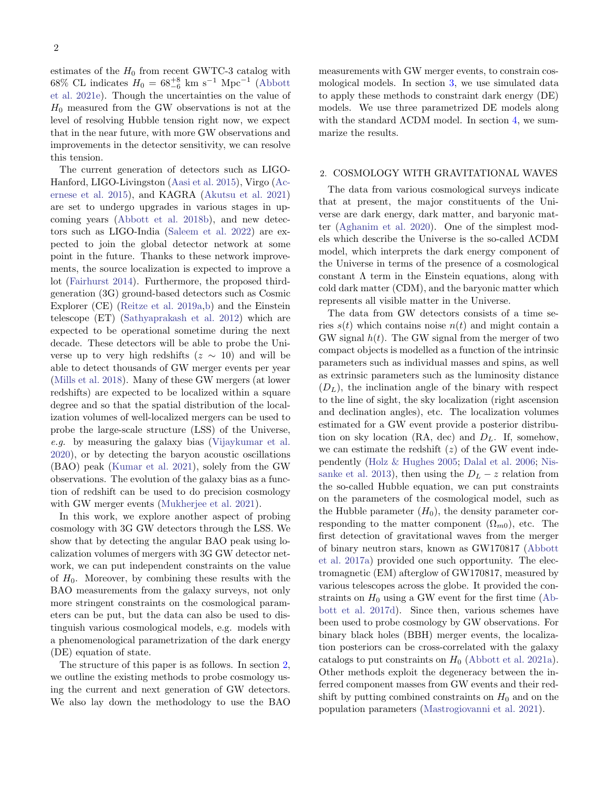estimates of the  $H_0$  from recent GWTC-3 catalog with 68% CL indicates  $H_0 = 68^{+8}_{-6}$  km s<sup>-1</sup> Mpc<sup>-1</sup> [\(Abbott](#page-7-7) [et al.](#page-7-7) [2021e\)](#page-7-7). Though the uncertainties on the value of  $H_0$  measured from the GW observations is not at the level of resolving Hubble tension right now, we expect that in the near future, with more GW observations and improvements in the detector sensitivity, we can resolve this tension.

The current generation of detectors such as LIGO-Hanford, LIGO-Livingston [\(Aasi et al.](#page-6-1) [2015\)](#page-6-1), Virgo [\(Ac](#page-7-16)[ernese et al.](#page-7-16) [2015\)](#page-7-16), and KAGRA [\(Akutsu et al.](#page-7-17) [2021\)](#page-7-17) are set to undergo upgrades in various stages in upcoming years [\(Abbott et al.](#page-7-18) [2018b\)](#page-7-18), and new detectors such as LIGO-India [\(Saleem et al.](#page-7-19) [2022\)](#page-7-19) are expected to join the global detector network at some point in the future. Thanks to these network improvements, the source localization is expected to improve a lot [\(Fairhurst](#page-7-20) [2014\)](#page-7-20). Furthermore, the proposed thirdgeneration (3G) ground-based detectors such as Cosmic Explorer (CE) [\(Reitze et al.](#page-7-21) [2019a](#page-7-21)[,b\)](#page-7-22) and the Einstein telescope (ET) [\(Sathyaprakash et al.](#page-7-23) [2012\)](#page-7-23) which are expected to be operational sometime during the next decade. These detectors will be able to probe the Universe up to very high redshifts  $(z \sim 10)$  and will be able to detect thousands of GW merger events per year [\(Mills et al.](#page-7-24) [2018\)](#page-7-24). Many of these GW mergers (at lower redshifts) are expected to be localized within a square degree and so that the spatial distribution of the localization volumes of well-localized mergers can be used to probe the large-scale structure (LSS) of the Universe, e.g. by measuring the galaxy bias [\(Vijaykumar et al.](#page-7-25) [2020\)](#page-7-25), or by detecting the baryon acoustic oscillations (BAO) peak [\(Kumar et al.](#page-7-26) [2021\)](#page-7-26), solely from the GW observations. The evolution of the galaxy bias as a function of redshift can be used to do precision cosmology with GW merger events [\(Mukherjee et al.](#page-7-27) [2021\)](#page-7-27).

In this work, we explore another aspect of probing cosmology with 3G GW detectors through the LSS. We show that by detecting the angular BAO peak using localization volumes of mergers with 3G GW detector network, we can put independent constraints on the value of  $H_0$ . Moreover, by combining these results with the BAO measurements from the galaxy surveys, not only more stringent constraints on the cosmological parameters can be put, but the data can also be used to distinguish various cosmological models, e.g. models with a phenomenological parametrization of the dark energy (DE) equation of state.

The structure of this paper is as follows. In section [2,](#page-1-0) we outline the existing methods to probe cosmology using the current and next generation of GW detectors. We also lay down the methodology to use the BAO measurements with GW merger events, to constrain cosmological models. In section [3,](#page-4-0) we use simulated data to apply these methods to constraint dark energy (DE) models. We use three parametrized DE models along with the standard  $\Lambda$ CDM model. In section [4,](#page-5-0) we summarize the results.

#### <span id="page-1-0"></span>2. COSMOLOGY WITH GRAVITATIONAL WAVES

The data from various cosmological surveys indicate that at present, the major constituents of the Universe are dark energy, dark matter, and baryonic matter [\(Aghanim et al.](#page-7-9) [2020\)](#page-7-9). One of the simplest models which describe the Universe is the so-called ΛCDM model, which interprets the dark energy component of the Universe in terms of the presence of a cosmological constant  $\Lambda$  term in the Einstein equations, along with cold dark matter (CDM), and the baryonic matter which represents all visible matter in the Universe.

The data from GW detectors consists of a time series  $s(t)$  which contains noise  $n(t)$  and might contain a GW signal  $h(t)$ . The GW signal from the merger of two compact objects is modelled as a function of the intrinsic parameters such as individual masses and spins, as well as extrinsic parameters such as the luminosity distance  $(D_L)$ , the inclination angle of the binary with respect to the line of sight, the sky localization (right ascension and declination angles), etc. The localization volumes estimated for a GW event provide a posterior distribution on sky location (RA, dec) and  $D<sub>L</sub>$ . If, somehow, we can estimate the redshift  $(z)$  of the GW event independently [\(Holz & Hughes](#page-7-28) [2005;](#page-7-28) [Dalal et al.](#page-7-29) [2006;](#page-7-29) [Nis](#page-7-30)[sanke et al.](#page-7-30) [2013\)](#page-7-30), then using the  $D<sub>L</sub> - z$  relation from the so-called Hubble equation, we can put constraints on the parameters of the cosmological model, such as the Hubble parameter  $(H_0)$ , the density parameter corresponding to the matter component  $(\Omega_{m0})$ , etc. The first detection of gravitational waves from the merger of binary neutron stars, known as GW170817 [\(Abbott](#page-7-0) [et al.](#page-7-0) [2017a\)](#page-7-0) provided one such opportunity. The electromagnetic (EM) afterglow of GW170817, measured by various telescopes across the globe. It provided the constraints on  $H_0$  using a GW event for the first time [\(Ab](#page-7-13)[bott et al.](#page-7-13) [2017d\)](#page-7-13). Since then, various schemes have been used to probe cosmology by GW observations. For binary black holes (BBH) merger events, the localization posteriors can be cross-correlated with the galaxy catalogs to put constraints on  $H_0$  [\(Abbott et al.](#page-7-14) [2021a\)](#page-7-14). Other methods exploit the degeneracy between the inferred component masses from GW events and their redshift by putting combined constraints on  $H_0$  and on the population parameters [\(Mastrogiovanni et al.](#page-7-15) [2021\)](#page-7-15).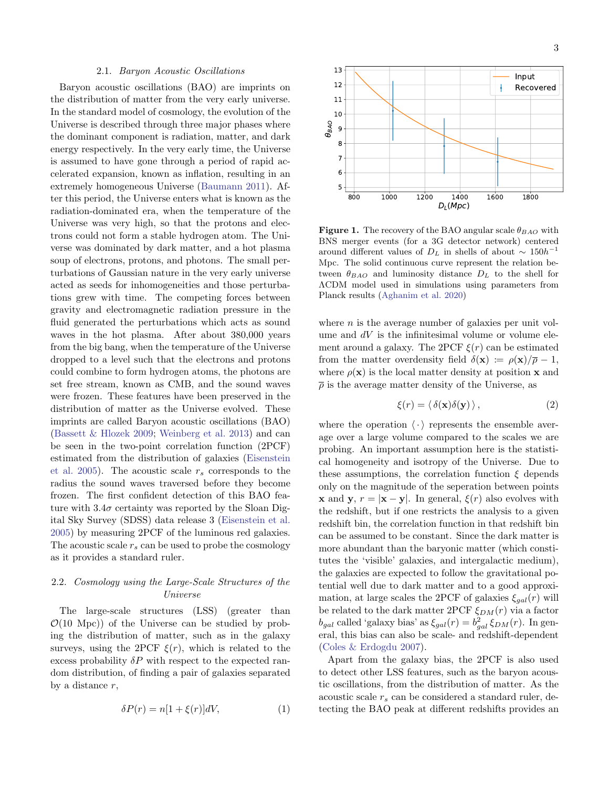### 2.1. Baryon Acoustic Oscillations

Baryon acoustic oscillations (BAO) are imprints on the distribution of matter from the very early universe. In the standard model of cosmology, the evolution of the Universe is described through three major phases where the dominant component is radiation, matter, and dark energy respectively. In the very early time, the Universe is assumed to have gone through a period of rapid accelerated expansion, known as inflation, resulting in an extremely homogeneous Universe [\(Baumann](#page-7-31) [2011\)](#page-7-31). After this period, the Universe enters what is known as the radiation-dominated era, when the temperature of the Universe was very high, so that the protons and electrons could not form a stable hydrogen atom. The Universe was dominated by dark matter, and a hot plasma soup of electrons, protons, and photons. The small perturbations of Gaussian nature in the very early universe acted as seeds for inhomogeneities and those perturbations grew with time. The competing forces between gravity and electromagnetic radiation pressure in the fluid generated the perturbations which acts as sound waves in the hot plasma. After about 380,000 years from the big bang, when the temperature of the Universe dropped to a level such that the electrons and protons could combine to form hydrogen atoms, the photons are set free stream, known as CMB, and the sound waves were frozen. These features have been preserved in the distribution of matter as the Universe evolved. These imprints are called Baryon acoustic oscillations (BAO) [\(Bassett & Hlozek](#page-7-32) [2009;](#page-7-32) [Weinberg et al.](#page-7-33) [2013\)](#page-7-33) and can be seen in the two-point correlation function (2PCF) estimated from the distribution of galaxies [\(Eisenstein](#page-7-34) [et al.](#page-7-34) [2005\)](#page-7-34). The acoustic scale  $r_s$  corresponds to the radius the sound waves traversed before they become frozen. The first confident detection of this BAO feature with  $3.4\sigma$  certainty was reported by the Sloan Digital Sky Survey (SDSS) data release 3 [\(Eisenstein et al.](#page-7-34) [2005\)](#page-7-34) by measuring 2PCF of the luminous red galaxies. The acoustic scale  $r_s$  can be used to probe the cosmology as it provides a standard ruler.

# 2.2. Cosmology using the Large-Scale Structures of the Universe

The large-scale structures (LSS) (greater than  $\mathcal{O}(10 \text{ Mpc})$  of the Universe can be studied by probing the distribution of matter, such as in the galaxy surveys, using the 2PCF  $\xi(r)$ , which is related to the excess probability  $\delta P$  with respect to the expected random distribution, of finding a pair of galaxies separated by a distance r,

$$
\delta P(r) = n[1 + \xi(r)]dV,\tag{1}
$$



<span id="page-2-0"></span>**Figure 1.** The recovery of the BAO angular scale  $\theta_{BAO}$  with BNS merger events (for a 3G detector network) centered around different values of  $D<sub>L</sub>$  in shells of about ~ 150h<sup>-1</sup> Mpc. The solid continuous curve represent the relation between  $\theta_{BAO}$  and luminosity distance  $D<sub>L</sub>$  to the shell for ΛCDM model used in simulations using parameters from Planck results [\(Aghanim et al.](#page-7-9) [2020\)](#page-7-9)

where  $n$  is the average number of galaxies per unit volume and  $dV$  is the infinitesimal volume or volume element around a galaxy. The 2PCF  $\xi(r)$  can be estimated from the matter overdensity field  $\delta(\mathbf{x}) := \rho(\mathbf{x})/\overline{\rho} - 1$ , where  $\rho(\mathbf{x})$  is the local matter density at position **x** and  $\bar{\rho}$  is the average matter density of the Universe, as

$$
\xi(r) = \langle \delta(\mathbf{x})\delta(\mathbf{y}) \rangle, \qquad (2)
$$

where the operation  $\langle \cdot \rangle$  represents the ensemble average over a large volume compared to the scales we are probing. An important assumption here is the statistical homogeneity and isotropy of the Universe. Due to these assumptions, the correlation function  $\xi$  depends only on the magnitude of the seperation between points **x** and **y**,  $r = |\mathbf{x} - \mathbf{y}|$ . In general,  $\xi(r)$  also evolves with the redshift, but if one restricts the analysis to a given redshift bin, the correlation function in that redshift bin can be assumed to be constant. Since the dark matter is more abundant than the baryonic matter (which constitutes the 'visible' galaxies, and intergalactic medium), the galaxies are expected to follow the gravitational potential well due to dark matter and to a good approximation, at large scales the 2PCF of galaxies  $\xi_{gal}(r)$  will be related to the dark matter 2PCF  $\xi_{DM}(r)$  via a factor  $b_{gal}$  called 'galaxy bias' as  $\xi_{gal}(r) = b_{gal}^2 \xi_{DM}(r)$ . In general, this bias can also be scale- and redshift-dependent [\(Coles & Erdogdu](#page-7-35) [2007\)](#page-7-35).

Apart from the galaxy bias, the 2PCF is also used to detect other LSS features, such as the baryon acoustic oscillations, from the distribution of matter. As the acoustic scale  $r_s$  can be considered a standard ruler, detecting the BAO peak at different redshifts provides an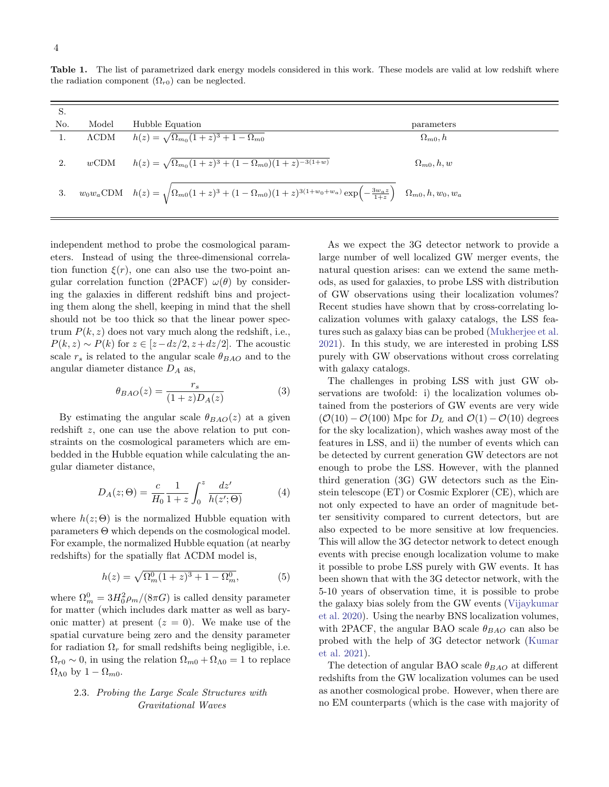<span id="page-3-0"></span>Table 1. The list of parametrized dark energy models considered in this work. These models are valid at low redshift where the radiation component  $(\Omega_{r0})$  can be neglected.

| S.  |       |                                                                                                                                                                       |                     |
|-----|-------|-----------------------------------------------------------------------------------------------------------------------------------------------------------------------|---------------------|
| No. | Model | Hubble Equation                                                                                                                                                       | parameters          |
| 1.  |       | $\Lambda$ CDM $h(z) = \sqrt{\Omega_{m_0}(1+z)^3 + 1 - \Omega_{m_0}}$                                                                                                  | $\Omega_{m0}, h$    |
| 2.  |       | $wCDM$ $h(z) = \sqrt{\Omega_{m_0}(1+z)^3 + (1-\Omega_{m_0})(1+z)^{-3(1+w)}}$                                                                                          | $\Omega_{m0}, h, w$ |
| 3.  |       | $w_0w_a \text{CDM} \quad h(z) = \sqrt{\Omega_{m0}(1+z)^3 + (1-\Omega_{m0})(1+z)^{3(1+w_0+w_a)}} \exp\left(-\tfrac{3w_a z}{1+z}\right) \quad \Omega_{m0}, h, w_0, w_a$ |                     |

independent method to probe the cosmological parameters. Instead of using the three-dimensional correlation function  $\xi(r)$ , one can also use the two-point angular correlation function (2PACF)  $\omega(\theta)$  by considering the galaxies in different redshift bins and projecting them along the shell, keeping in mind that the shell should not be too thick so that the linear power spectrum  $P(k, z)$  does not vary much along the redshift, i.e.,  $P(k, z) \sim P(k)$  for  $z \in [z - dz/2, z + dz/2]$ . The acoustic scale  $r_s$  is related to the angular scale  $\theta_{BAO}$  and to the angular diameter distance  $D_A$  as,

$$
\theta_{BAO}(z) = \frac{r_s}{(1+z)D_A(z)}\tag{3}
$$

By estimating the angular scale  $\theta_{BAO}(z)$  at a given redshift z, one can use the above relation to put constraints on the cosmological parameters which are embedded in the Hubble equation while calculating the angular diameter distance,

$$
D_A(z; \Theta) = \frac{c}{H_0} \frac{1}{1+z} \int_0^z \frac{dz'}{h(z'; \Theta)} \tag{4}
$$

where  $h(z; \Theta)$  is the normalized Hubble equation with parameters Θ which depends on the cosmological model. For example, the normalized Hubble equation (at nearby redshifts) for the spatially flat ΛCDM model is,

$$
h(z) = \sqrt{\Omega_m^0 (1+z)^3 + 1 - \Omega_m^0},
$$
 (5)

where  $\Omega_m^0 = 3H_0^2 \rho_m/(8\pi G)$  is called density parameter for matter (which includes dark matter as well as baryonic matter) at present  $(z = 0)$ . We make use of the spatial curvature being zero and the density parameter for radiation  $\Omega_r$  for small redshifts being negligible, i.e.  $\Omega_{r0} \sim 0$ , in using the relation  $\Omega_{m0} + \Omega_{\Lambda 0} = 1$  to replace  $\Omega_{\Lambda 0}$  by  $1 - \Omega_{m0}$ .

# 2.3. Probing the Large Scale Structures with Gravitational Waves

As we expect the 3G detector network to provide a large number of well localized GW merger events, the natural question arises: can we extend the same methods, as used for galaxies, to probe LSS with distribution of GW observations using their localization volumes? Recent studies have shown that by cross-correlating localization volumes with galaxy catalogs, the LSS features such as galaxy bias can be probed [\(Mukherjee et al.](#page-7-27) [2021\)](#page-7-27). In this study, we are interested in probing LSS purely with GW observations without cross correlating with galaxy catalogs.

The challenges in probing LSS with just GW observations are twofold: i) the localization volumes obtained from the posteriors of GW events are very wide  $(\mathcal{O}(10) - \mathcal{O}(100))$  Mpc for  $D_L$  and  $\mathcal{O}(1) - \mathcal{O}(10)$  degrees for the sky localization), which washes away most of the features in LSS, and ii) the number of events which can be detected by current generation GW detectors are not enough to probe the LSS. However, with the planned third generation (3G) GW detectors such as the Einstein telescope (ET) or Cosmic Explorer (CE), which are not only expected to have an order of magnitude better sensitivity compared to current detectors, but are also expected to be more sensitive at low frequencies. This will allow the 3G detector network to detect enough events with precise enough localization volume to make it possible to probe LSS purely with GW events. It has been shown that with the 3G detector network, with the 5-10 years of observation time, it is possible to probe the galaxy bias solely from the GW events [\(Vijaykumar](#page-7-25) [et al.](#page-7-25) [2020\)](#page-7-25). Using the nearby BNS localization volumes, with 2PACF, the angular BAO scale  $\theta_{BAO}$  can also be probed with the help of 3G detector network [\(Kumar](#page-7-26) [et al.](#page-7-26) [2021\)](#page-7-26).

The detection of angular BAO scale  $\theta_{BAO}$  at different redshifts from the GW localization volumes can be used as another cosmological probe. However, when there are no EM counterparts (which is the case with majority of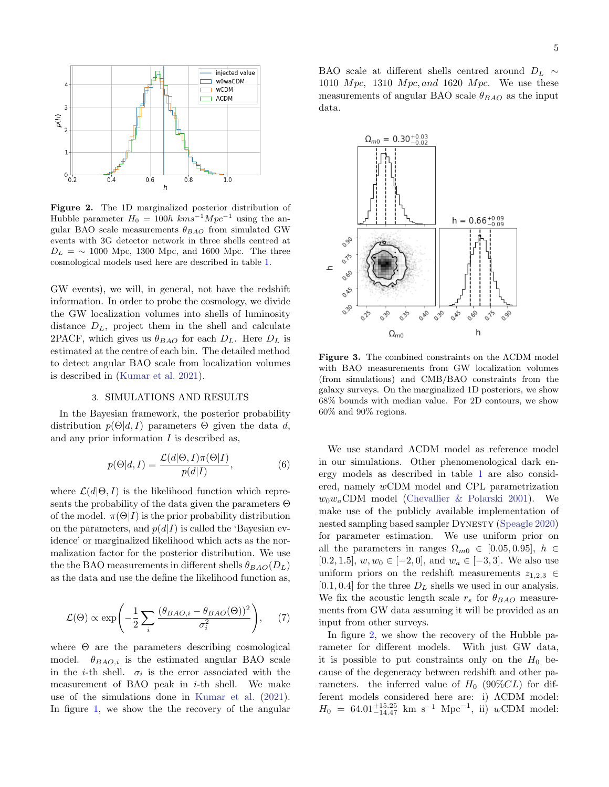

<span id="page-4-1"></span>Figure 2. The 1D marginalized posterior distribution of Hubble parameter  $H_0 = 100h \ km s^{-1}Mpc^{-1}$  using the angular BAO scale measurements  $\theta_{BAO}$  from simulated GW events with 3G detector network in three shells centred at  $D_L = \sim 1000$  Mpc, 1300 Mpc, and 1600 Mpc. The three cosmological models used here are described in table [1.](#page-3-0)

GW events), we will, in general, not have the redshift information. In order to probe the cosmology, we divide the GW localization volumes into shells of luminosity distance  $D_L$ , project them in the shell and calculate 2PACF, which gives us  $\theta_{BAO}$  for each  $D_L$ . Here  $D_L$  is estimated at the centre of each bin. The detailed method to detect angular BAO scale from localization volumes is described in [\(Kumar et al.](#page-7-26) [2021\)](#page-7-26).

### 3. SIMULATIONS AND RESULTS

<span id="page-4-0"></span>In the Bayesian framework, the posterior probability distribution  $p(\Theta|d, I)$  parameters  $\Theta$  given the data d, and any prior information  $I$  is described as,

$$
p(\Theta|d, I) = \frac{\mathcal{L}(d|\Theta, I)\pi(\Theta|I)}{p(d|I)},
$$
\n(6)

where  $\mathcal{L}(d|\Theta, I)$  is the likelihood function which represents the probability of the data given the parameters Θ of the model.  $\pi(\Theta|I)$  is the prior probability distribution on the parameters, and  $p(d|I)$  is called the 'Bayesian evidence' or marginalized likelihood which acts as the normalization factor for the posterior distribution. We use the the BAO measurements in different shells  $\theta_{BAO}(D_L)$ as the data and use the define the likelihood function as,

$$
\mathcal{L}(\Theta) \propto \exp\left(-\frac{1}{2}\sum_{i} \frac{(\theta_{BAO,i} - \theta_{BAO}(\Theta))^2}{\sigma_i^2}\right), \quad (7)
$$

where  $\Theta$  are the parameters describing cosmological model.  $\theta_{BAO,i}$  is the estimated angular BAO scale in the *i*-th shell.  $\sigma_i$  is the error associated with the measurement of BAO peak in  $i$ -th shell. We make use of the simulations done in [Kumar et al.](#page-7-26) [\(2021\)](#page-7-26). In figure [1,](#page-2-0) we show the the recovery of the angular

BAO scale at different shells centred around  $D_L \sim$ 1010  $Mpc$ , 1310  $Mpc$ , and 1620  $Mpc$ . We use these measurements of angular BAO scale  $\theta_{BAO}$  as the input data.



<span id="page-4-2"></span>Figure 3. The combined constraints on the ΛCDM model with BAO measurements from GW localization volumes (from simulations) and CMB/BAO constraints from the galaxy surveys. On the marginalized 1D posteriors, we show 68% bounds with median value. For 2D contours, we show 60% and 90% regions.

We use standard ΛCDM model as reference model in our simulations. Other phenomenological dark energy models as described in table [1](#page-3-0) are also considered, namely wCDM model and CPL parametrization  $w_0w_a$ CDM model [\(Chevallier & Polarski](#page-7-36) [2001\)](#page-7-36). We make use of the publicly available implementation of nested sampling based sampler Dynesty [\(Speagle](#page-7-37) [2020\)](#page-7-37) for parameter estimation. We use uniform prior on all the parameters in ranges  $\Omega_{m0} \in [0.05, 0.95], h \in$ [0.2, 1.5],  $w, w_0 \in [-2, 0]$ , and  $w_a \in [-3, 3]$ . We also use uniform priors on the redshift measurements  $z_{1,2,3} \in$  $[0.1, 0.4]$  for the three  $D<sub>L</sub>$  shells we used in our analysis. We fix the acoustic length scale  $r_s$  for  $\theta_{BAO}$  measurements from GW data assuming it will be provided as an input from other surveys.

In figure [2,](#page-4-1) we show the recovery of the Hubble parameter for different models. With just GW data, it is possible to put constraints only on the  $H_0$  because of the degeneracy between redshift and other parameters. the inferred value of  $H_0$  (90%CL) for different models considered here are: i) ΛCDM model:  $H_0 = 64.01^{+15.25}_{-14.47}$  km s<sup>-1</sup> Mpc<sup>-1</sup>, ii) wCDM model: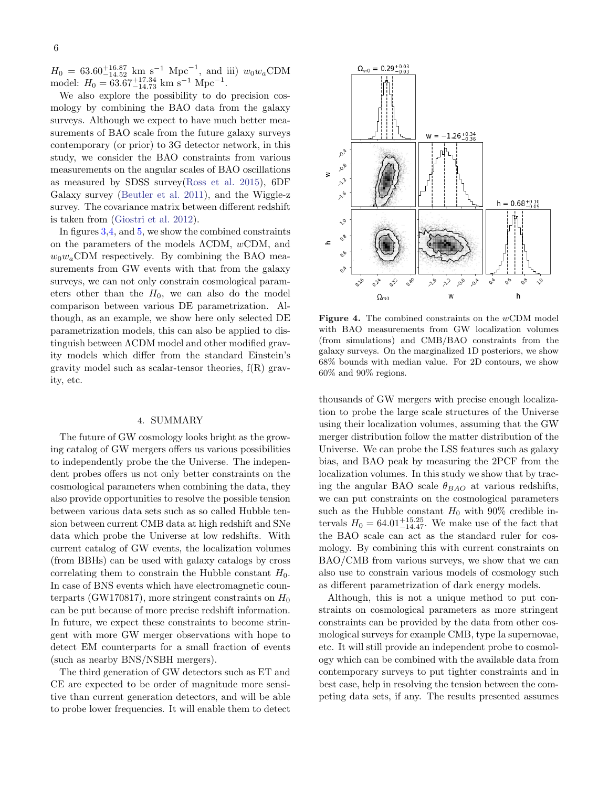$H_0 = 63.60_{-14.52}^{+16.87}$  km s<sup>-1</sup> Mpc<sup>-1</sup>, and iii)  $w_0w_a$ CDM model:  $H_0 = 63.67_{-14.73}^{+17.34}$  km s<sup>-1</sup> Mpc<sup>-1</sup>.

We also explore the possibility to do precision cosmology by combining the BAO data from the galaxy surveys. Although we expect to have much better measurements of BAO scale from the future galaxy surveys contemporary (or prior) to 3G detector network, in this study, we consider the BAO constraints from various measurements on the angular scales of BAO oscillations as measured by SDSS survey[\(Ross et al.](#page-7-38) [2015\)](#page-7-38), 6DF Galaxy survey [\(Beutler et al.](#page-7-39) [2011\)](#page-7-39), and the Wiggle-z survey. The covariance matrix between different redshift is taken from [\(Giostri et al.](#page-7-40) [2012\)](#page-7-40).

In figures [3,](#page-4-2)[4,](#page-5-1) and [5,](#page-6-2) we show the combined constraints on the parameters of the models ΛCDM, wCDM, and  $w_0w_a$ CDM respectively. By combining the BAO measurements from GW events with that from the galaxy surveys, we can not only constrain cosmological parameters other than the  $H_0$ , we can also do the model comparison between various DE parametrization. Although, as an example, we show here only selected DE parametrization models, this can also be applied to distinguish between ΛCDM model and other modified gravity models which differ from the standard Einstein's gravity model such as scalar-tensor theories,  $f(R)$  gravity, etc.

## 4. SUMMARY

<span id="page-5-0"></span>The future of GW cosmology looks bright as the growing catalog of GW mergers offers us various possibilities to independently probe the the Universe. The independent probes offers us not only better constraints on the cosmological parameters when combining the data, they also provide opportunities to resolve the possible tension between various data sets such as so called Hubble tension between current CMB data at high redshift and SNe data which probe the Universe at low redshifts. With current catalog of GW events, the localization volumes (from BBHs) can be used with galaxy catalogs by cross correlating them to constrain the Hubble constant  $H_0$ . In case of BNS events which have electromagnetic counterparts (GW170817), more stringent constraints on  $H_0$ can be put because of more precise redshift information. In future, we expect these constraints to become stringent with more GW merger observations with hope to detect EM counterparts for a small fraction of events (such as nearby BNS/NSBH mergers).

The third generation of GW detectors such as ET and CE are expected to be order of magnitude more sensitive than current generation detectors, and will be able to probe lower frequencies. It will enable them to detect



<span id="page-5-1"></span>Figure 4. The combined constraints on the wCDM model with BAO measurements from GW localization volumes (from simulations) and CMB/BAO constraints from the galaxy surveys. On the marginalized 1D posteriors, we show 68% bounds with median value. For 2D contours, we show 60% and 90% regions.

thousands of GW mergers with precise enough localization to probe the large scale structures of the Universe using their localization volumes, assuming that the GW merger distribution follow the matter distribution of the Universe. We can probe the LSS features such as galaxy bias, and BAO peak by measuring the 2PCF from the localization volumes. In this study we show that by tracing the angular BAO scale  $\theta_{BAO}$  at various redshifts, we can put constraints on the cosmological parameters such as the Hubble constant  $H_0$  with 90% credible intervals  $H_0 = 64.01_{-14.47}^{+15.25}$ . We make use of the fact that the BAO scale can act as the standard ruler for cosmology. By combining this with current constraints on BAO/CMB from various surveys, we show that we can also use to constrain various models of cosmology such as different parametrization of dark energy models.

Although, this is not a unique method to put constraints on cosmological parameters as more stringent constraints can be provided by the data from other cosmological surveys for example CMB, type Ia supernovae, etc. It will still provide an independent probe to cosmology which can be combined with the available data from contemporary surveys to put tighter constraints and in best case, help in resolving the tension between the competing data sets, if any. The results presented assumes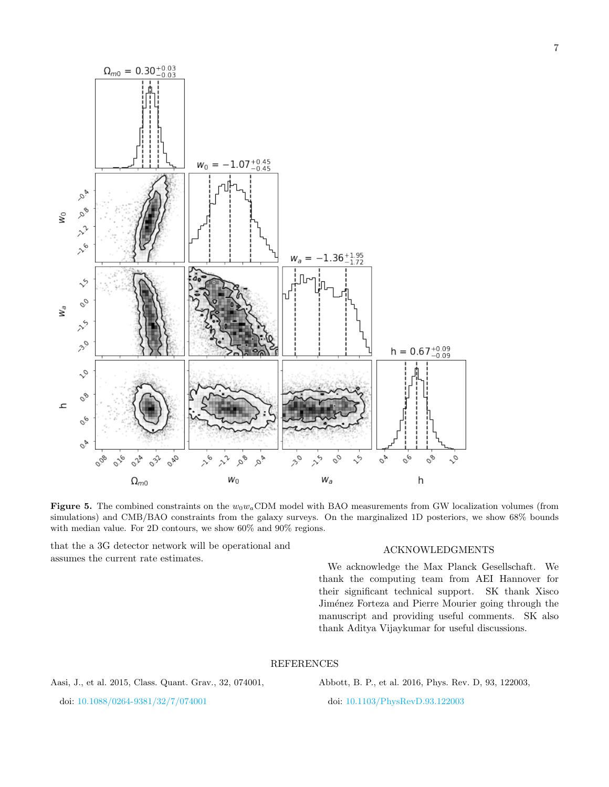

<span id="page-6-2"></span>Figure 5. The combined constraints on the  $w_0w_aCDM$  model with BAO measurements from GW localization volumes (from simulations) and CMB/BAO constraints from the galaxy surveys. On the marginalized 1D posteriors, we show 68% bounds with median value. For 2D contours, we show 60% and 90% regions.

that the a 3G detector network will be operational and assumes the current rate estimates.

### ACKNOWLEDGMENTS

We acknowledge the Max Planck Gesellschaft. We thank the computing team from AEI Hannover for their significant technical support. SK thank Xisco Jiménez Forteza and Pierre Mourier going through the manuscript and providing useful comments. SK also thank Aditya Vijaykumar for useful discussions.

### REFERENCES

<span id="page-6-1"></span>Aasi, J., et al. 2015, Class. Quant. Grav., 32, 074001,

<span id="page-6-0"></span>Abbott, B. P., et al. 2016, Phys. Rev. D, 93, 122003,

doi: [10.1088/0264-9381/32/7/074001](http://doi.org/10.1088/0264-9381/32/7/074001)

doi: [10.1103/PhysRevD.93.122003](http://doi.org/10.1103/PhysRevD.93.122003)